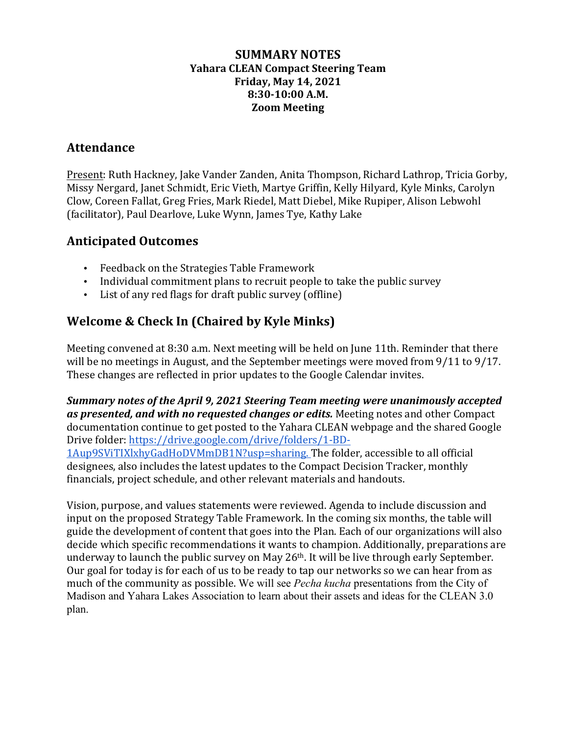#### **SUMMARY NOTES Yahara CLEAN Compact Steering Team Friday, May 14, 2021 8:30-10:00 A.M. Zoom Meeting**

## **Attendance**

Present: Ruth Hackney, Jake Vander Zanden, Anita Thompson, Richard Lathrop, Tricia Gorby, Missy Nergard, Janet Schmidt, Eric Vieth, Martye Griffin, Kelly Hilyard, Kyle Minks, Carolyn Clow, Coreen Fallat, Greg Fries, Mark Riedel, Matt Diebel, Mike Rupiper, Alison Lebwohl (facilitator), Paul Dearlove, Luke Wynn, James Tye, Kathy Lake

## **Anticipated Outcomes**

- Feedback on the Strategies Table Framework
- Individual commitment plans to recruit people to take the public survey
- List of any red flags for draft public survey (offline)

## **Welcome & Check In (Chaired by Kyle Minks)**

Meeting convened at 8:30 a.m. Next meeting will be held on June 11th. Reminder that there will be no meetings in August, and the September meetings were moved from  $9/11$  to  $9/17$ . These changes are reflected in prior updates to the Google Calendar invites.

**Summary notes of the April 9, 2021 Steering Team meeting were unanimously accepted** as presented, and with no requested changes or edits. Meeting notes and other Compact documentation continue to get posted to the Yahara CLEAN webpage and the shared Google Drive folder: https://drive.google.com/drive/folders/1-BD-1Aup9SViTIXlxhyGadHoDVMmDB1N?usp=sharing. The folder, accessible to all official

designees, also includes the latest updates to the Compact Decision Tracker, monthly financials, project schedule, and other relevant materials and handouts.

Vision, purpose, and values statements were reviewed. Agenda to include discussion and input on the proposed Strategy Table Framework. In the coming six months, the table will guide the development of content that goes into the Plan. Each of our organizations will also decide which specific recommendations it wants to champion. Additionally, preparations are underway to launch the public survey on May  $26<sup>th</sup>$ . It will be live through early September. Our goal for today is for each of us to be ready to tap our networks so we can hear from as much of the community as possible. We will see *Pecha kucha* presentations from the City of Madison and Yahara Lakes Association to learn about their assets and ideas for the CLEAN 3.0 plan.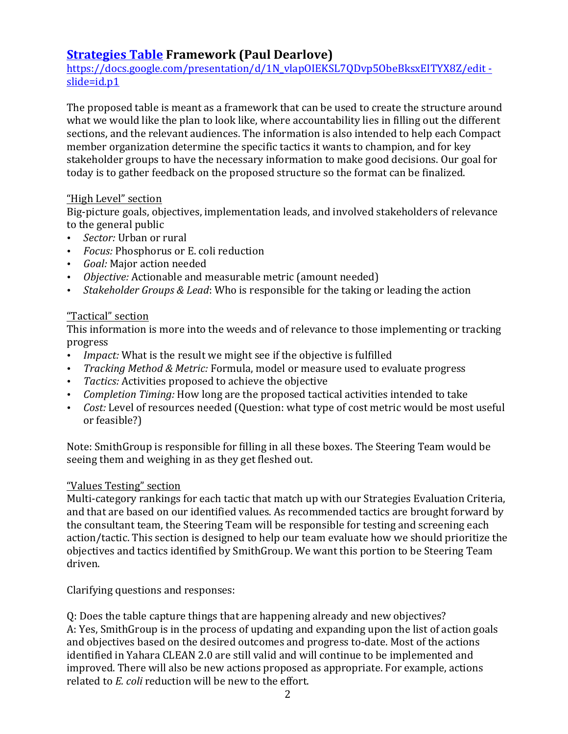## **Strategies Table Framework (Paul Dearlove)**

https://docs.google.com/presentation/d/1N\_vlapOIEKSL7ODvp5ObeBksxEITYX8Z/edit slide=id.p1

The proposed table is meant as a framework that can be used to create the structure around what we would like the plan to look like, where accountability lies in filling out the different sections, and the relevant audiences. The information is also intended to help each Compact member organization determine the specific tactics it wants to champion, and for key stakeholder groups to have the necessary information to make good decisions. Our goal for today is to gather feedback on the proposed structure so the format can be finalized.

#### "High Level" section

Big-picture goals, objectives, implementation leads, and involved stakeholders of relevance to the general public

- *Sector:* Urban or rural
- *Focus:* Phosphorus or E. coli reduction
- *Goal:* Major action needed
- *Objective:* Actionable and measurable metric (amount needed)
- *Stakeholder Groups & Lead*: Who is responsible for the taking or leading the action

### "Tactical" section

This information is more into the weeds and of relevance to those implementing or tracking progress

- *Impact:* What is the result we might see if the objective is fulfilled
- *Tracking Method & Metric:* Formula, model or measure used to evaluate progress
- *Tactics:* Activities proposed to achieve the objective
- *Completion Timing:* How long are the proposed tactical activities intended to take
- *Cost:* Level of resources needed (Question: what type of cost metric would be most useful or feasible?)

Note: SmithGroup is responsible for filling in all these boxes. The Steering Team would be seeing them and weighing in as they get fleshed out.

### "Values Testing" section

Multi-category rankings for each tactic that match up with our Strategies Evaluation Criteria, and that are based on our identified values. As recommended tactics are brought forward by the consultant team, the Steering Team will be responsible for testing and screening each action/tactic. This section is designed to help our team evaluate how we should prioritize the objectives and tactics identified by SmithGroup. We want this portion to be Steering Team driven.

Clarifying questions and responses:

Q: Does the table capture things that are happening already and new objectives? A: Yes, SmithGroup is in the process of updating and expanding upon the list of action goals and objectives based on the desired outcomes and progress to-date. Most of the actions identified in Yahara CLEAN 2.0 are still valid and will continue to be implemented and improved. There will also be new actions proposed as appropriate. For example, actions related to *E. coli* reduction will be new to the effort.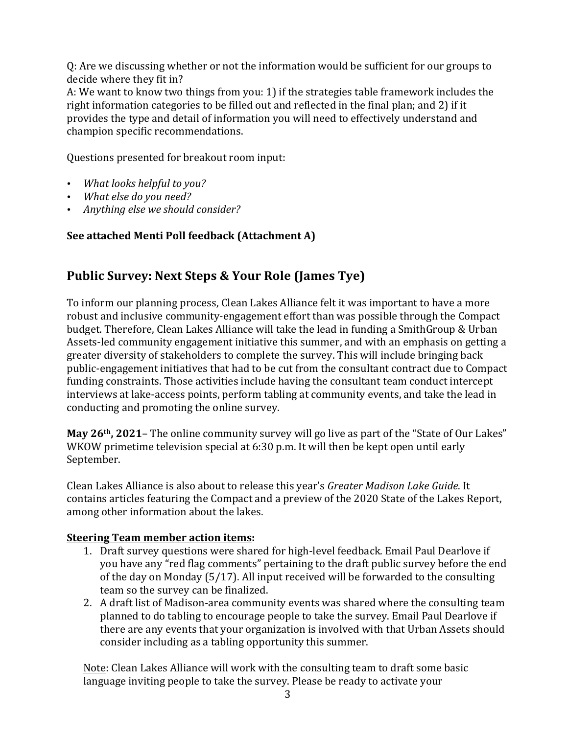Q: Are we discussing whether or not the information would be sufficient for our groups to decide where they fit in?

A: We want to know two things from you: 1) if the strategies table framework includes the right information categories to be filled out and reflected in the final plan; and 2) if it provides the type and detail of information you will need to effectively understand and champion specific recommendations.

Questions presented for breakout room input:

- *What looks helpful to you?*
- What else do you need?
- *Anything else we should consider?*

### **See attached Menti Poll feedback (Attachment A)**

## **Public Survey: Next Steps & Your Role (James Tye)**

To inform our planning process, Clean Lakes Alliance felt it was important to have a more robust and inclusive community-engagement effort than was possible through the Compact budget. Therefore, Clean Lakes Alliance will take the lead in funding a SmithGroup & Urban Assets-led community engagement initiative this summer, and with an emphasis on getting a greater diversity of stakeholders to complete the survey. This will include bringing back public-engagement initiatives that had to be cut from the consultant contract due to Compact funding constraints. Those activities include having the consultant team conduct intercept interviews at lake-access points, perform tabling at community events, and take the lead in conducting and promoting the online survey.

**May 26<sup>th</sup>, 2021**– The online community survey will go live as part of the "State of Our Lakes" WKOW primetime television special at  $6:30$  p.m. It will then be kept open until early September.

Clean Lakes Alliance is also about to release this year's *Greater Madison Lake Guide*. It contains articles featuring the Compact and a preview of the 2020 State of the Lakes Report, among other information about the lakes.

### **Steering Team member action items:**

- 1. Draft survey questions were shared for high-level feedback. Email Paul Dearlove if you have any "red flag comments" pertaining to the draft public survey before the end of the day on Monday  $(5/17)$ . All input received will be forwarded to the consulting team so the survey can be finalized.
- 2. A draft list of Madison-area community events was shared where the consulting team planned to do tabling to encourage people to take the survey. Email Paul Dearlove if there are any events that your organization is involved with that Urban Assets should consider including as a tabling opportunity this summer.

Note: Clean Lakes Alliance will work with the consulting team to draft some basic language inviting people to take the survey. Please be ready to activate your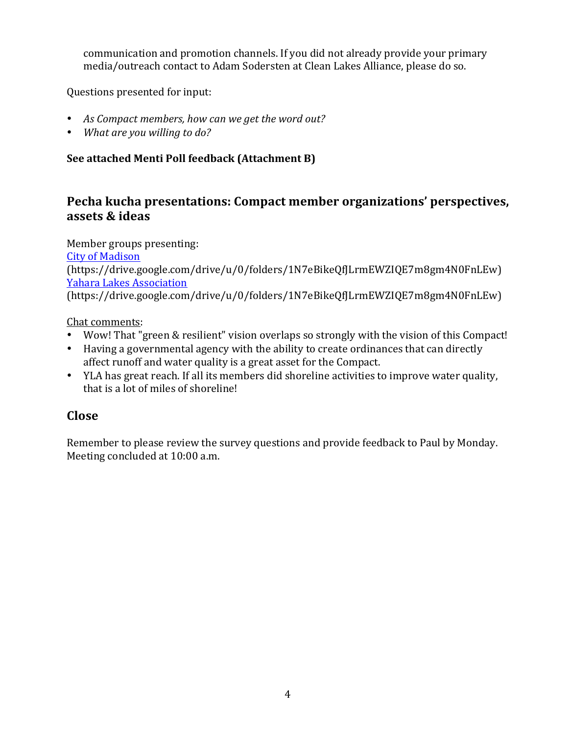communication and promotion channels. If you did not already provide your primary media/outreach contact to Adam Sodersten at Clean Lakes Alliance, please do so.

Questions presented for input:

- As Compact members, how can we get the word out?
- *What are you willing to do?*

### **See attached Menti Poll feedback (Attachment B)**

## **Pecha kucha presentations: Compact member organizations' perspectives, assets & ideas**

Member groups presenting: **City of Madison** (https://drive.google.com/drive/u/0/folders/1N7eBikeQfJLrmEWZIQE7m8gm4N0FnLEw) **Yahara Lakes Association** (https://drive.google.com/drive/u/0/folders/1N7eBikeQfJLrmEWZIQE7m8gm4N0FnLEw)

Chat comments:

- Wow! That "green & resilient" vision overlaps so strongly with the vision of this Compact!
- Having a governmental agency with the ability to create ordinances that can directly affect runoff and water quality is a great asset for the Compact.
- YLA has great reach. If all its members did shoreline activities to improve water quality, that is a lot of miles of shoreline!

## **Close**

Remember to please review the survey questions and provide feedback to Paul by Monday. Meeting concluded at 10:00 a.m.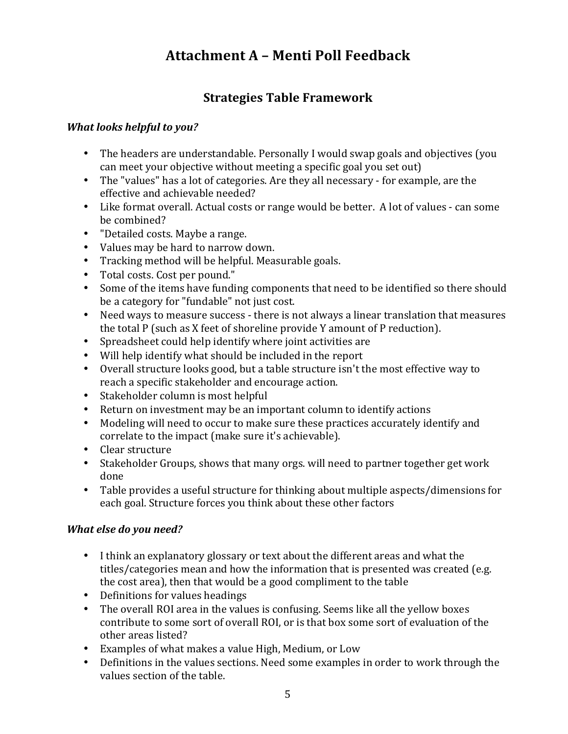# **Attachment A – Menti Poll Feedback**

## **Strategies Table Framework**

### *What looks helpful to you?*

- The headers are understandable. Personally I would swap goals and objectives (you can meet your objective without meeting a specific goal you set out)
- The "values" has a lot of categories. Are they all necessary for example, are the effective and achievable needed?
- Like format overall. Actual costs or range would be better. A lot of values can some be combined?
- "Detailed costs. Maybe a range.
- Values may be hard to narrow down.
- Tracking method will be helpful. Measurable goals.
- Total costs. Cost per pound."
- Some of the items have funding components that need to be identified so there should be a category for "fundable" not just cost.
- Need ways to measure success there is not always a linear translation that measures the total  $P$  (such as  $X$  feet of shoreline provide  $Y$  amount of  $P$  reduction).
- Spreadsheet could help identify where joint activities are
- Will help identify what should be included in the report
- Overall structure looks good, but a table structure isn't the most effective way to reach a specific stakeholder and encourage action.
- Stakeholder column is most helpful
- Return on investment may be an important column to identify actions
- Modeling will need to occur to make sure these practices accurately identify and correlate to the impact (make sure it's achievable).
- Clear structure
- Stakeholder Groups, shows that many orgs. will need to partner together get work done
- Table provides a useful structure for thinking about multiple aspects/dimensions for each goal. Structure forces you think about these other factors

## *What else do you need?*

- I think an explanatory glossary or text about the different areas and what the titles/categories mean and how the information that is presented was created (e.g. the cost area), then that would be a good compliment to the table
- Definitions for values headings
- The overall ROI area in the values is confusing. Seems like all the yellow boxes contribute to some sort of overall ROI, or is that box some sort of evaluation of the other areas listed?
- Examples of what makes a value High, Medium, or Low
- Definitions in the values sections. Need some examples in order to work through the values section of the table.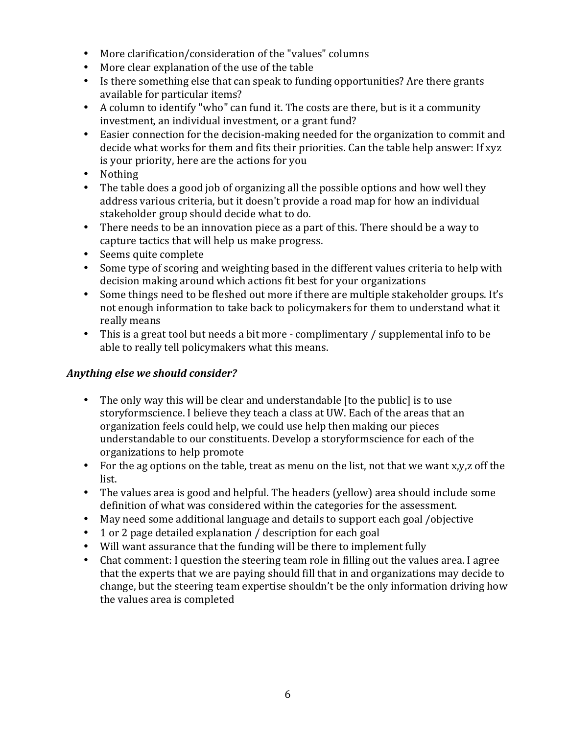- More clarification/consideration of the "values" columns
- More clear explanation of the use of the table
- Is there something else that can speak to funding opportunities? Are there grants available for particular items?
- A column to identify "who" can fund it. The costs are there, but is it a community investment, an individual investment, or a grant fund?
- Easier connection for the decision-making needed for the organization to commit and decide what works for them and fits their priorities. Can the table help answer: If xyz is your priority, here are the actions for you
- Nothing
- The table does a good job of organizing all the possible options and how well they address various criteria, but it doesn't provide a road map for how an individual stakeholder group should decide what to do.
- There needs to be an innovation piece as a part of this. There should be a way to capture tactics that will help us make progress.
- Seems quite complete
- Some type of scoring and weighting based in the different values criteria to help with decision making around which actions fit best for your organizations
- Some things need to be fleshed out more if there are multiple stakeholder groups. It's not enough information to take back to policymakers for them to understand what it really means
- This is a great tool but needs a bit more complimentary  $\ell$  supplemental info to be able to really tell policymakers what this means.

#### Anything else we should consider?

- The only way this will be clear and understandable [to the public] is to use storyformscience. I believe they teach a class at UW. Each of the areas that an organization feels could help, we could use help then making our pieces understandable to our constituents. Develop a storyformscience for each of the organizations to help promote
- For the ag options on the table, treat as menu on the list, not that we want  $x,y,z$  off the list.
- The values area is good and helpful. The headers (yellow) area should include some definition of what was considered within the categories for the assessment.
- May need some additional language and details to support each goal /objective
- 1 or 2 page detailed explanation / description for each goal
- Will want assurance that the funding will be there to implement fully
- Chat comment: I question the steering team role in filling out the values area. I agree that the experts that we are paying should fill that in and organizations may decide to change, but the steering team expertise shouldn't be the only information driving how the values area is completed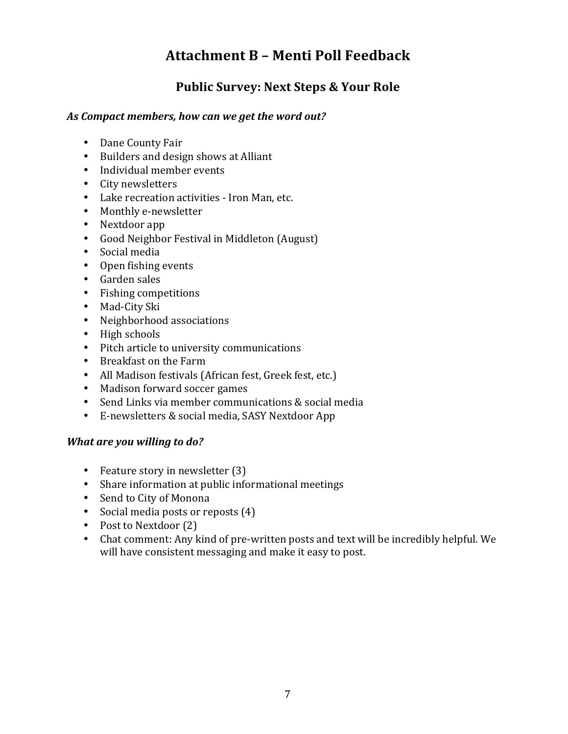# **Attachment B – Menti Poll Feedback**

## **Public Survey: Next Steps & Your Role**

#### As Compact members, how can we get the word out?

- Dane County Fair
- Builders and design shows at Alliant
- Individual member events
- City newsletters
- Lake recreation activities Iron Man, etc.
- Monthly e-newsletter
- Nextdoor app
- Good Neighbor Festival in Middleton (August)
- Social media
- Open fishing events
- Garden sales
- Fishing competitions
- Mad-City Ski
- Neighborhood associations
- High schools
- Pitch article to university communications
- Breakfast on the Farm
- All Madison festivals (African fest, Greek fest, etc.)
- Madison forward soccer games
- Send Links via member communications & social media
- E-newsletters & social media, SASY Nextdoor App

#### *What are you willing to do?*

- Feature story in newsletter  $(3)$
- Share information at public informational meetings
- Send to City of Monona
- Social media posts or reposts (4)
- Post to Nextdoor (2)
- Chat comment: Any kind of pre-written posts and text will be incredibly helpful. We will have consistent messaging and make it easy to post.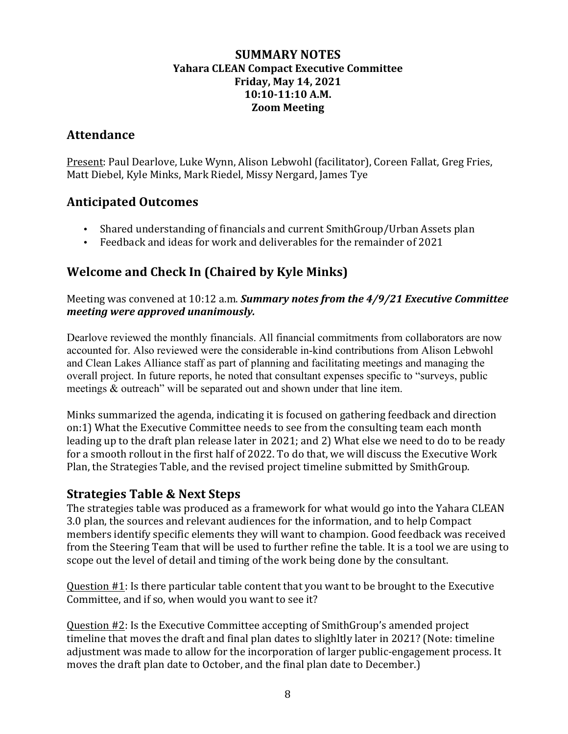#### **SUMMARY NOTES Yahara CLEAN Compact Executive Committee Friday, May 14, 2021 10:10-11:10 A.M. Zoom Meeting**

## **Attendance**

Present: Paul Dearlove, Luke Wynn, Alison Lebwohl (facilitator), Coreen Fallat, Greg Fries, Matt Diebel, Kyle Minks, Mark Riedel, Missy Nergard, James Tye

## **Anticipated Outcomes**

- Shared understanding of financials and current SmithGroup/Urban Assets plan
- Feedback and ideas for work and deliverables for the remainder of 2021

## **Welcome and Check In (Chaired by Kyle Minks)**

Meeting was convened at 10:12 a.m. **Summary notes from the 4/9/21 Executive Committee** *meeting were approved unanimously.* 

Dearlove reviewed the monthly financials. All financial commitments from collaborators are now accounted for. Also reviewed were the considerable in-kind contributions from Alison Lebwohl and Clean Lakes Alliance staff as part of planning and facilitating meetings and managing the overall project. In future reports, he noted that consultant expenses specific to "surveys, public meetings & outreach" will be separated out and shown under that line item.

Minks summarized the agenda, indicating it is focused on gathering feedback and direction on:1) What the Executive Committee needs to see from the consulting team each month leading up to the draft plan release later in 2021; and 2) What else we need to do to be ready for a smooth rollout in the first half of 2022. To do that, we will discuss the Executive Work Plan, the Strategies Table, and the revised project timeline submitted by SmithGroup.

## **Strategies Table & Next Steps**

The strategies table was produced as a framework for what would go into the Yahara CLEAN 3.0 plan, the sources and relevant audiences for the information, and to help Compact members identify specific elements they will want to champion. Good feedback was received from the Steering Team that will be used to further refine the table. It is a tool we are using to scope out the level of detail and timing of the work being done by the consultant.

Question #1: Is there particular table content that you want to be brought to the Executive Committee, and if so, when would you want to see it?

Question #2: Is the Executive Committee accepting of SmithGroup's amended project timeline that moves the draft and final plan dates to slighltly later in 2021? (Note: timeline adjustment was made to allow for the incorporation of larger public-engagement process. It moves the draft plan date to October, and the final plan date to December.)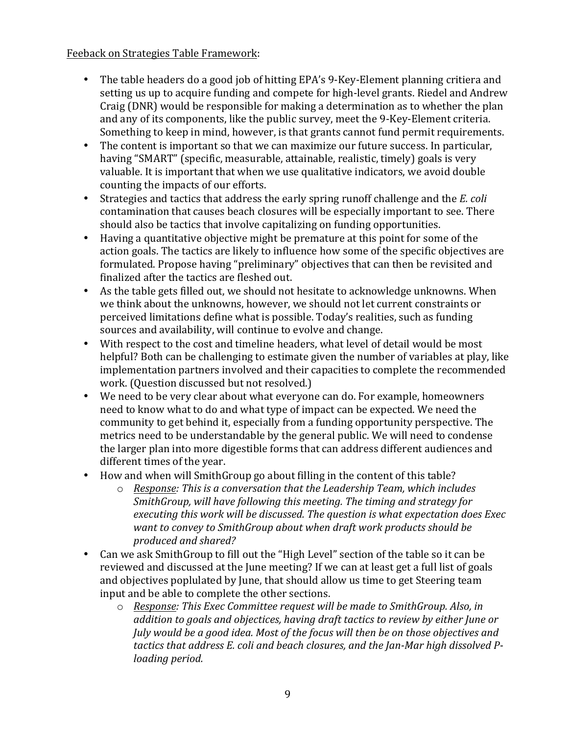#### Feeback on Strategies Table Framework:

- The table headers do a good job of hitting EPA's 9-Key-Element planning critiera and setting us up to acquire funding and compete for high-level grants. Riedel and Andrew Craig (DNR) would be responsible for making a determination as to whether the plan and any of its components, like the public survey, meet the 9-Key-Element criteria. Something to keep in mind, however, is that grants cannot fund permit requirements.
- The content is important so that we can maximize our future success. In particular, having "SMART" (specific, measurable, attainable, realistic, timely) goals is very valuable. It is important that when we use qualitative indicators, we avoid double counting the impacts of our efforts.
- Strategies and tactics that address the early spring runoff challenge and the *E. coli* contamination that causes beach closures will be especially important to see. There should also be tactics that involve capitalizing on funding opportunities.
- Having a quantitative objective might be premature at this point for some of the action goals. The tactics are likely to influence how some of the specific objectives are formulated. Propose having "preliminary" objectives that can then be revisited and finalized after the tactics are fleshed out.
- As the table gets filled out, we should not hesitate to acknowledge unknowns. When we think about the unknowns, however, we should not let current constraints or perceived limitations define what is possible. Today's realities, such as funding sources and availability, will continue to evolve and change.
- With respect to the cost and timeline headers, what level of detail would be most helpful? Both can be challenging to estimate given the number of variables at play, like implementation partners involved and their capacities to complete the recommended work. (Question discussed but not resolved.)
- We need to be very clear about what everyone can do. For example, homeowners need to know what to do and what type of impact can be expected. We need the community to get behind it, especially from a funding opportunity perspective. The metrics need to be understandable by the general public. We will need to condense the larger plan into more digestible forms that can address different audiences and different times of the year.
- How and when will SmithGroup go about filling in the content of this table?
	- $\circ$  *Response: This is a conversation that the Leadership Team, which includes SmithGroup, will have following this meeting. The timing and strategy for executing this work will be discussed. The question is what expectation does Exec* want to convey to SmithGroup about when draft work products should be *produced and shared?*
- Can we ask SmithGroup to fill out the "High Level" section of the table so it can be reviewed and discussed at the June meeting? If we can at least get a full list of goals and objectives poplulated by June, that should allow us time to get Steering team input and be able to complete the other sections.
	- o *Response: This Exec Committee request will be made to SmithGroup. Also, in*  addition to goals and objectices, having draft tactics to review by either June or *July* would be a good idea. Most of the focus will then be on those objectives and tactics that address E. coli and beach closures, and the Jan-Mar high dissolved P*loading period.*